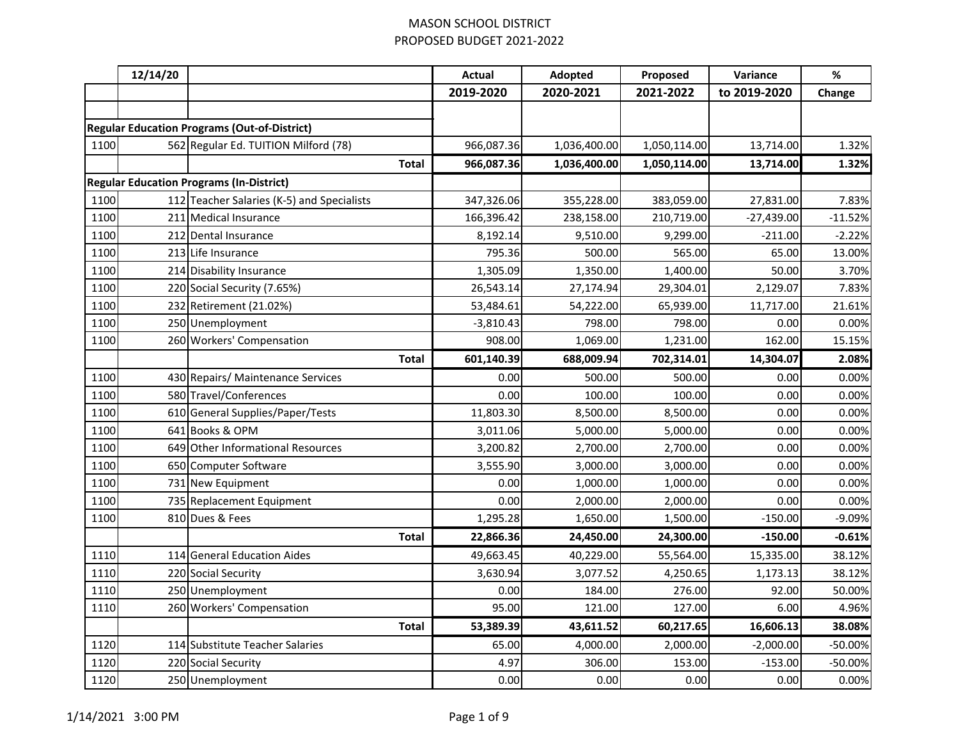|      | 12/14/20 |                                                     | <b>Actual</b> | Adopted      | Proposed     | Variance     | $\%$      |
|------|----------|-----------------------------------------------------|---------------|--------------|--------------|--------------|-----------|
|      |          |                                                     | 2019-2020     | 2020-2021    | 2021-2022    | to 2019-2020 | Change    |
|      |          |                                                     |               |              |              |              |           |
|      |          | <b>Regular Education Programs (Out-of-District)</b> |               |              |              |              |           |
| 1100 |          | 562 Regular Ed. TUITION Milford (78)                | 966,087.36    | 1,036,400.00 | 1,050,114.00 | 13,714.00    | 1.32%     |
|      |          | <b>Total</b>                                        | 966,087.36    | 1,036,400.00 | 1,050,114.00 | 13,714.00    | 1.32%     |
|      |          | <b>Regular Education Programs (In-District)</b>     |               |              |              |              |           |
| 1100 |          | 112 Teacher Salaries (K-5) and Specialists          | 347,326.06    | 355,228.00   | 383,059.00   | 27,831.00    | 7.83%     |
| 1100 |          | 211 Medical Insurance                               | 166,396.42    | 238,158.00   | 210,719.00   | $-27,439.00$ | $-11.52%$ |
| 1100 |          | 212 Dental Insurance                                | 8,192.14      | 9,510.00     | 9,299.00     | $-211.00$    | $-2.22%$  |
| 1100 |          | 213 Life Insurance                                  | 795.36        | 500.00       | 565.00       | 65.00        | 13.00%    |
| 1100 |          | 214 Disability Insurance                            | 1,305.09      | 1,350.00     | 1,400.00     | 50.00        | 3.70%     |
| 1100 |          | 220 Social Security (7.65%)                         | 26,543.14     | 27,174.94    | 29,304.01    | 2,129.07     | 7.83%     |
| 1100 |          | 232 Retirement (21.02%)                             | 53,484.61     | 54,222.00    | 65,939.00    | 11,717.00    | 21.61%    |
| 1100 |          | 250 Unemployment                                    | $-3,810.43$   | 798.00       | 798.00       | 0.00         | 0.00%     |
| 1100 |          | 260 Workers' Compensation                           | 908.00        | 1,069.00     | 1,231.00     | 162.00       | 15.15%    |
|      |          | <b>Total</b>                                        | 601,140.39    | 688,009.94   | 702,314.01   | 14,304.07    | 2.08%     |
| 1100 |          | 430 Repairs/ Maintenance Services                   | 0.00          | 500.00       | 500.00       | 0.00         | 0.00%     |
| 1100 |          | 580 Travel/Conferences                              | 0.00          | 100.00       | 100.00       | 0.00         | 0.00%     |
| 1100 |          | 610 General Supplies/Paper/Tests                    | 11,803.30     | 8,500.00     | 8,500.00     | 0.00         | 0.00%     |
| 1100 |          | 641 Books & OPM                                     | 3,011.06      | 5,000.00     | 5,000.00     | 0.00         | 0.00%     |
| 1100 |          | 649 Other Informational Resources                   | 3,200.82      | 2,700.00     | 2,700.00     | 0.00         | 0.00%     |
| 1100 |          | 650 Computer Software                               | 3,555.90      | 3,000.00     | 3,000.00     | 0.00         | 0.00%     |
| 1100 |          | 731 New Equipment                                   | 0.00          | 1,000.00     | 1,000.00     | 0.00         | 0.00%     |
| 1100 |          | 735 Replacement Equipment                           | 0.00          | 2,000.00     | 2,000.00     | 0.00         | 0.00%     |
| 1100 |          | 810 Dues & Fees                                     | 1,295.28      | 1,650.00     | 1,500.00     | $-150.00$    | $-9.09%$  |
|      |          | <b>Total</b>                                        | 22,866.36     | 24,450.00    | 24,300.00    | $-150.00$    | $-0.61%$  |
| 1110 |          | 114 General Education Aides                         | 49,663.45     | 40,229.00    | 55,564.00    | 15,335.00    | 38.12%    |
| 1110 |          | 220 Social Security                                 | 3,630.94      | 3,077.52     | 4,250.65     | 1,173.13     | 38.12%    |
| 1110 |          | 250 Unemployment                                    | 0.00          | 184.00       | 276.00       | 92.00        | 50.00%    |
| 1110 |          | 260 Workers' Compensation                           | 95.00         | 121.00       | 127.00       | 6.00         | 4.96%     |
|      |          | <b>Total</b>                                        | 53,389.39     | 43,611.52    | 60,217.65    | 16,606.13    | 38.08%    |
| 1120 |          | 114 Substitute Teacher Salaries                     | 65.00         | 4,000.00     | 2,000.00     | $-2,000.00$  | $-50.00%$ |
| 1120 |          | 220 Social Security                                 | 4.97          | 306.00       | 153.00       | $-153.00$    | -50.00%   |
| 1120 |          | 250 Unemployment                                    | 0.00          | 0.00         | 0.00         | 0.00         | 0.00%     |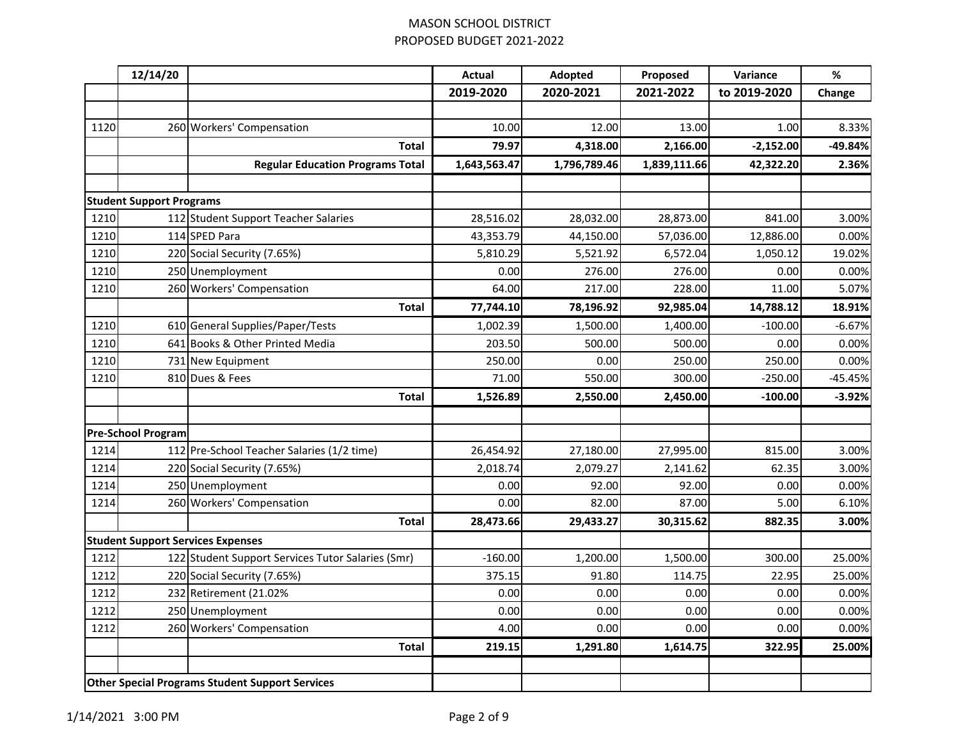|      | 12/14/20                        |                                                        | <b>Actual</b> | Adopted      | Proposed     | Variance     | $\%$      |
|------|---------------------------------|--------------------------------------------------------|---------------|--------------|--------------|--------------|-----------|
|      |                                 |                                                        | 2019-2020     | 2020-2021    | 2021-2022    | to 2019-2020 | Change    |
|      |                                 |                                                        |               |              |              |              |           |
| 1120 |                                 | 260 Workers' Compensation                              | 10.00         | 12.00        | 13.00        | 1.00         | 8.33%     |
|      |                                 | <b>Total</b>                                           | 79.97         | 4,318.00     | 2,166.00     | $-2,152.00$  | -49.84%   |
|      |                                 | <b>Regular Education Programs Total</b>                | 1,643,563.47  | 1,796,789.46 | 1,839,111.66 | 42,322.20    | 2.36%     |
|      |                                 |                                                        |               |              |              |              |           |
|      | <b>Student Support Programs</b> |                                                        |               |              |              |              |           |
| 1210 |                                 | 112 Student Support Teacher Salaries                   | 28,516.02     | 28,032.00    | 28,873.00    | 841.00       | 3.00%     |
| 1210 |                                 | 114 SPED Para                                          | 43,353.79     | 44,150.00    | 57,036.00    | 12,886.00    | 0.00%     |
| 1210 |                                 | 220 Social Security (7.65%)                            | 5,810.29      | 5,521.92     | 6,572.04     | 1,050.12     | 19.02%    |
| 1210 |                                 | 250 Unemployment                                       | 0.00          | 276.00       | 276.00       | 0.00         | 0.00%     |
| 1210 |                                 | 260 Workers' Compensation                              | 64.00         | 217.00       | 228.00       | 11.00        | 5.07%     |
|      |                                 | <b>Total</b>                                           | 77,744.10     | 78,196.92    | 92,985.04    | 14,788.12    | 18.91%    |
| 1210 |                                 | 610 General Supplies/Paper/Tests                       | 1,002.39      | 1,500.00     | 1,400.00     | $-100.00$    | $-6.67%$  |
| 1210 |                                 | 641 Books & Other Printed Media                        | 203.50        | 500.00       | 500.00       | 0.00         | 0.00%     |
| 1210 |                                 | 731 New Equipment                                      | 250.00        | 0.00         | 250.00       | 250.00       | 0.00%     |
| 1210 |                                 | 810 Dues & Fees                                        | 71.00         | 550.00       | 300.00       | $-250.00$    | $-45.45%$ |
|      |                                 | <b>Total</b>                                           | 1,526.89      | 2,550.00     | 2,450.00     | $-100.00$    | $-3.92%$  |
|      |                                 |                                                        |               |              |              |              |           |
|      | <b>Pre-School Program</b>       |                                                        |               |              |              |              |           |
| 1214 |                                 | 112 Pre-School Teacher Salaries (1/2 time)             | 26,454.92     | 27,180.00    | 27,995.00    | 815.00       | 3.00%     |
| 1214 |                                 | 220 Social Security (7.65%)                            | 2,018.74      | 2,079.27     | 2,141.62     | 62.35        | 3.00%     |
| 1214 |                                 | 250 Unemployment                                       | 0.00          | 92.00        | 92.00        | 0.00         | 0.00%     |
| 1214 |                                 | 260 Workers' Compensation                              | 0.00          | 82.00        | 87.00        | 5.00         | 6.10%     |
|      |                                 | <b>Total</b>                                           | 28,473.66     | 29,433.27    | 30,315.62    | 882.35       | 3.00%     |
|      |                                 | <b>Student Support Services Expenses</b>               |               |              |              |              |           |
| 1212 |                                 | 122 Student Support Services Tutor Salaries (Smr)      | $-160.00$     | 1,200.00     | 1,500.00     | 300.00       | 25.00%    |
| 1212 |                                 | 220 Social Security (7.65%)                            | 375.15        | 91.80        | 114.75       | 22.95        | 25.00%    |
| 1212 |                                 | 232 Retirement (21.02%                                 | 0.00          | 0.00         | 0.00         | 0.00         | 0.00%     |
| 1212 |                                 | 250 Unemployment                                       | 0.00          | 0.00         | 0.00         | 0.00         | 0.00%     |
| 1212 |                                 | 260 Workers' Compensation                              | 4.00          | 0.00         | 0.00         | 0.00         | 0.00%     |
|      |                                 | Total                                                  | 219.15        | 1,291.80     | 1,614.75     | 322.95       | 25.00%    |
|      |                                 |                                                        |               |              |              |              |           |
|      |                                 | <b>Other Special Programs Student Support Services</b> |               |              |              |              |           |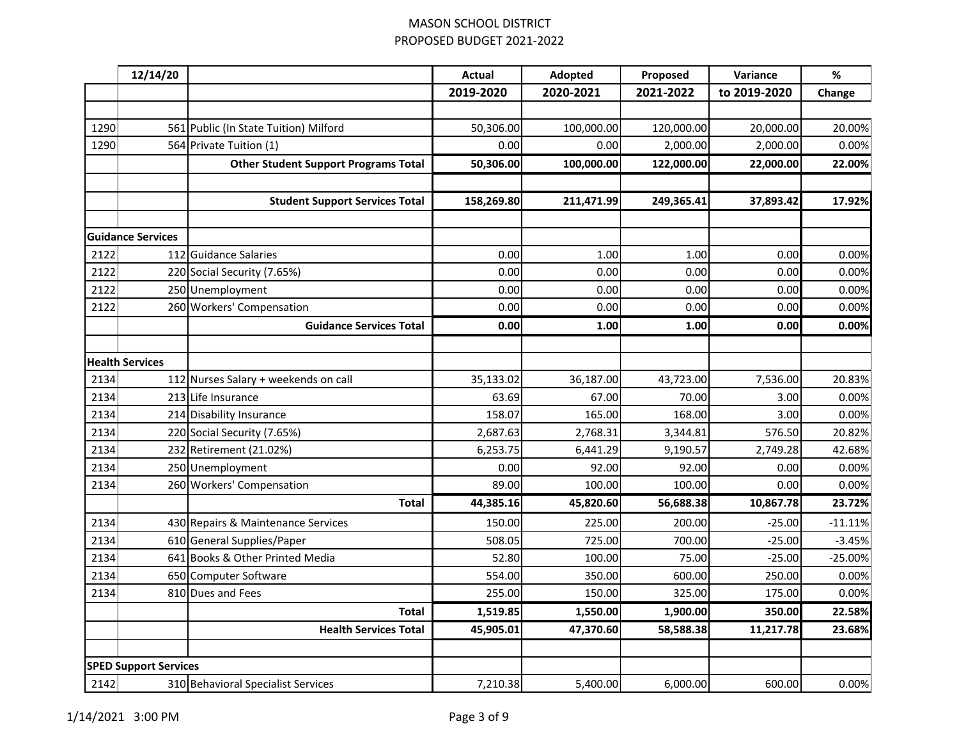|      | 12/14/20                     |                                             | <b>Actual</b> | Adopted    | Proposed   | Variance     | $\%$      |
|------|------------------------------|---------------------------------------------|---------------|------------|------------|--------------|-----------|
|      |                              |                                             | 2019-2020     | 2020-2021  | 2021-2022  | to 2019-2020 | Change    |
|      |                              |                                             |               |            |            |              |           |
| 1290 |                              | 561 Public (In State Tuition) Milford       | 50,306.00     | 100,000.00 | 120,000.00 | 20,000.00    | 20.00%    |
| 1290 |                              | 564 Private Tuition (1)                     | 0.00          | 0.00       | 2,000.00   | 2,000.00     | 0.00%     |
|      |                              | <b>Other Student Support Programs Total</b> | 50,306.00     | 100,000.00 | 122,000.00 | 22,000.00    | 22.00%    |
|      |                              |                                             |               |            |            |              |           |
|      |                              | <b>Student Support Services Total</b>       | 158,269.80    | 211,471.99 | 249,365.41 | 37,893.42    | 17.92%    |
|      |                              |                                             |               |            |            |              |           |
|      | <b>Guidance Services</b>     |                                             |               |            |            |              |           |
| 2122 |                              | 112 Guidance Salaries                       | 0.00          | 1.00       | 1.00       | 0.00         | 0.00%     |
| 2122 |                              | 220 Social Security (7.65%)                 | 0.00          | 0.00       | 0.00       | 0.00         | 0.00%     |
| 2122 |                              | 250 Unemployment                            | 0.00          | 0.00       | 0.00       | 0.00         | 0.00%     |
| 2122 |                              | 260 Workers' Compensation                   | 0.00          | 0.00       | 0.00       | 0.00         | 0.00%     |
|      |                              | <b>Guidance Services Total</b>              | 0.00          | 1.00       | 1.00       | 0.00         | 0.00%     |
|      |                              |                                             |               |            |            |              |           |
|      | <b>Health Services</b>       |                                             |               |            |            |              |           |
| 2134 |                              | 112 Nurses Salary + weekends on call        | 35,133.02     | 36,187.00  | 43,723.00  | 7,536.00     | 20.83%    |
| 2134 |                              | 213 Life Insurance                          | 63.69         | 67.00      | 70.00      | 3.00         | 0.00%     |
| 2134 |                              | 214 Disability Insurance                    | 158.07        | 165.00     | 168.00     | 3.00         | 0.00%     |
| 2134 |                              | 220 Social Security (7.65%)                 | 2,687.63      | 2,768.31   | 3,344.81   | 576.50       | 20.82%    |
| 2134 |                              | 232 Retirement (21.02%)                     | 6,253.75      | 6,441.29   | 9,190.57   | 2,749.28     | 42.68%    |
| 2134 |                              | 250 Unemployment                            | 0.00          | 92.00      | 92.00      | 0.00         | 0.00%     |
| 2134 |                              | 260 Workers' Compensation                   | 89.00         | 100.00     | 100.00     | 0.00         | 0.00%     |
|      |                              | <b>Total</b>                                | 44,385.16     | 45,820.60  | 56,688.38  | 10,867.78    | 23.72%    |
| 2134 |                              | 430 Repairs & Maintenance Services          | 150.00        | 225.00     | 200.00     | $-25.00$     | $-11.11%$ |
| 2134 |                              | 610 General Supplies/Paper                  | 508.05        | 725.00     | 700.00     | $-25.00$     | $-3.45%$  |
| 2134 |                              | 641 Books & Other Printed Media             | 52.80         | 100.00     | 75.00      | $-25.00$     | $-25.00%$ |
| 2134 |                              | 650 Computer Software                       | 554.00        | 350.00     | 600.00     | 250.00       | 0.00%     |
| 2134 |                              | 810 Dues and Fees                           | 255.00        | 150.00     | 325.00     | 175.00       | 0.00%     |
|      |                              | <b>Total</b>                                | 1,519.85      | 1,550.00   | 1,900.00   | 350.00       | 22.58%    |
|      |                              | <b>Health Services Total</b>                | 45,905.01     | 47,370.60  | 58,588.38  | 11,217.78    | 23.68%    |
|      | <b>SPED Support Services</b> |                                             |               |            |            |              |           |
| 2142 |                              | 310 Behavioral Specialist Services          | 7,210.38      | 5,400.00   | 6,000.00   | 600.00       | 0.00%     |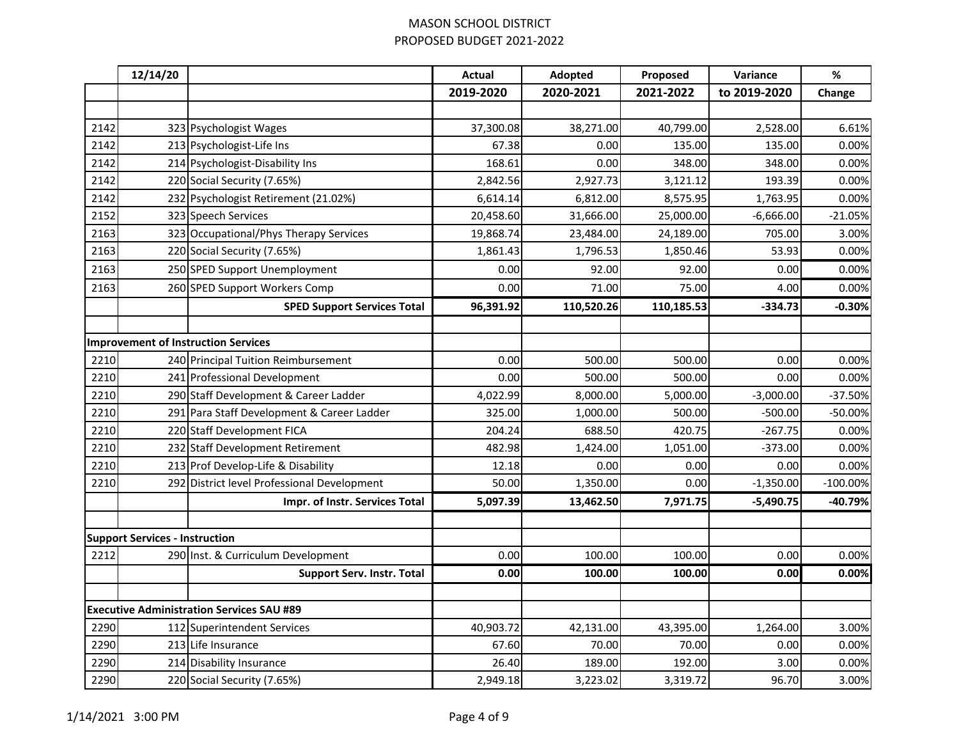|      | 12/14/20                              |                                                  | <b>Actual</b> | Adopted    | Proposed   | Variance     | $\%$       |
|------|---------------------------------------|--------------------------------------------------|---------------|------------|------------|--------------|------------|
|      |                                       |                                                  | 2019-2020     | 2020-2021  | 2021-2022  | to 2019-2020 | Change     |
|      |                                       |                                                  |               |            |            |              |            |
| 2142 |                                       | 323 Psychologist Wages                           | 37,300.08     | 38,271.00  | 40,799.00  | 2,528.00     | 6.61%      |
| 2142 |                                       | 213 Psychologist-Life Ins                        | 67.38         | 0.00       | 135.00     | 135.00       | 0.00%      |
| 2142 |                                       | 214 Psychologist-Disability Ins                  | 168.61        | 0.00       | 348.00     | 348.00       | 0.00%      |
| 2142 |                                       | 220 Social Security (7.65%)                      | 2,842.56      | 2,927.73   | 3,121.12   | 193.39       | 0.00%      |
| 2142 |                                       | 232 Psychologist Retirement (21.02%)             | 6,614.14      | 6,812.00   | 8,575.95   | 1,763.95     | 0.00%      |
| 2152 |                                       | 323 Speech Services                              | 20,458.60     | 31,666.00  | 25,000.00  | $-6,666.00$  | $-21.05%$  |
| 2163 |                                       | 323 Occupational/Phys Therapy Services           | 19,868.74     | 23,484.00  | 24,189.00  | 705.00       | 3.00%      |
| 2163 |                                       | 220 Social Security (7.65%)                      | 1,861.43      | 1,796.53   | 1,850.46   | 53.93        | 0.00%      |
| 2163 |                                       | 250 SPED Support Unemployment                    | 0.00          | 92.00      | 92.00      | 0.00         | 0.00%      |
| 2163 |                                       | 260 SPED Support Workers Comp                    | 0.00          | 71.00      | 75.00      | 4.00         | 0.00%      |
|      |                                       | <b>SPED Support Services Total</b>               | 96,391.92     | 110,520.26 | 110,185.53 | $-334.73$    | $-0.30%$   |
|      |                                       |                                                  |               |            |            |              |            |
|      |                                       | <b>Improvement of Instruction Services</b>       |               |            |            |              |            |
| 2210 |                                       | 240 Principal Tuition Reimbursement              | 0.00          | 500.00     | 500.00     | 0.00         | 0.00%      |
| 2210 |                                       | 241 Professional Development                     | 0.00          | 500.00     | 500.00     | 0.00         | 0.00%      |
| 2210 |                                       | 290 Staff Development & Career Ladder            | 4,022.99      | 8,000.00   | 5,000.00   | $-3,000.00$  | $-37.50%$  |
| 2210 |                                       | 291 Para Staff Development & Career Ladder       | 325.00        | 1,000.00   | 500.00     | $-500.00$    | -50.00%    |
| 2210 |                                       | 220 Staff Development FICA                       | 204.24        | 688.50     | 420.75     | $-267.75$    | 0.00%      |
| 2210 |                                       | 232 Staff Development Retirement                 | 482.98        | 1,424.00   | 1,051.00   | $-373.00$    | 0.00%      |
| 2210 |                                       | 213 Prof Develop-Life & Disability               | 12.18         | 0.00       | 0.00       | 0.00         | 0.00%      |
| 2210 |                                       | 292 District level Professional Development      | 50.00         | 1,350.00   | 0.00       | $-1,350.00$  | $-100.00%$ |
|      |                                       | Impr. of Instr. Services Total                   | 5,097.39      | 13,462.50  | 7,971.75   | $-5,490.75$  | -40.79%    |
|      |                                       |                                                  |               |            |            |              |            |
|      | <b>Support Services - Instruction</b> |                                                  |               |            |            |              |            |
| 2212 |                                       | 290 Inst. & Curriculum Development               | 0.00          | 100.00     | 100.00     | 0.00         | 0.00%      |
|      |                                       | <b>Support Serv. Instr. Total</b>                | 0.00          | 100.00     | 100.00     | 0.00         | 0.00%      |
|      |                                       |                                                  |               |            |            |              |            |
|      |                                       | <b>Executive Administration Services SAU #89</b> |               |            |            |              |            |
| 2290 |                                       | 112 Superintendent Services                      | 40,903.72     | 42,131.00  | 43,395.00  | 1,264.00     | 3.00%      |
| 2290 |                                       | 213 Life Insurance                               | 67.60         | 70.00      | 70.00      | 0.00         | 0.00%      |
| 2290 |                                       | 214 Disability Insurance                         | 26.40         | 189.00     | 192.00     | 3.00         | 0.00%      |
| 2290 |                                       | 220 Social Security (7.65%)                      | 2,949.18      | 3,223.02   | 3,319.72   | 96.70        | 3.00%      |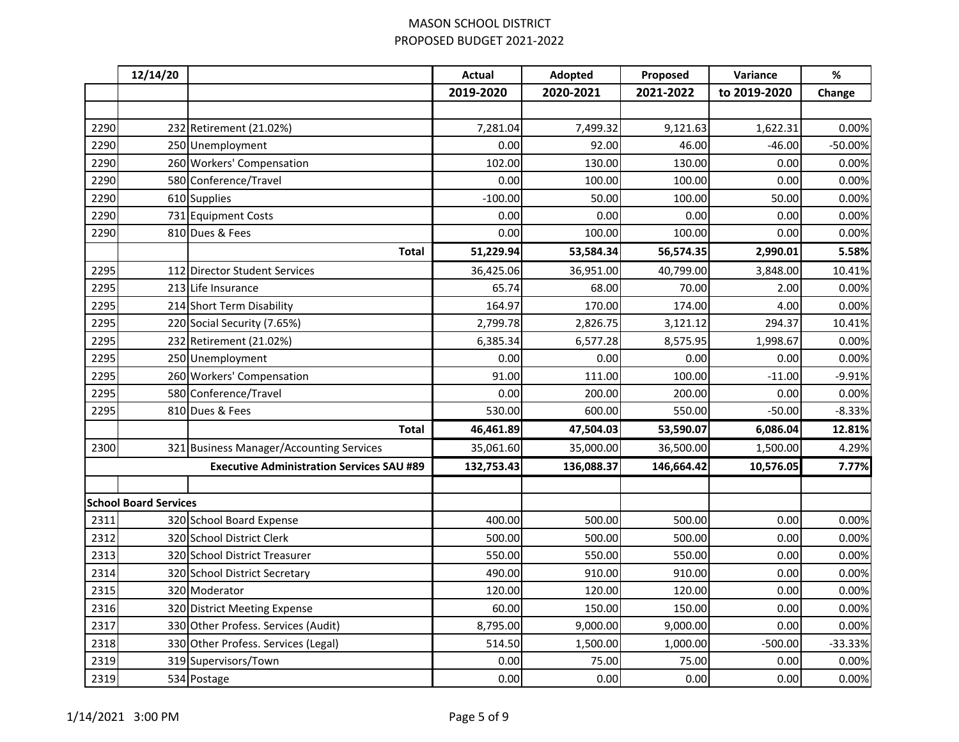|      | 12/14/20                     |                                                  | <b>Actual</b> | Adopted    | Proposed   | Variance     | $\%$      |
|------|------------------------------|--------------------------------------------------|---------------|------------|------------|--------------|-----------|
|      |                              |                                                  | 2019-2020     | 2020-2021  | 2021-2022  | to 2019-2020 | Change    |
|      |                              |                                                  |               |            |            |              |           |
| 2290 |                              | 232 Retirement (21.02%)                          | 7,281.04      | 7,499.32   | 9,121.63   | 1,622.31     | 0.00%     |
| 2290 |                              | 250 Unemployment                                 | 0.00          | 92.00      | 46.00      | $-46.00$     | $-50.00%$ |
| 2290 |                              | 260 Workers' Compensation                        | 102.00        | 130.00     | 130.00     | 0.00         | 0.00%     |
| 2290 |                              | 580 Conference/Travel                            | 0.00          | 100.00     | 100.00     | 0.00         | 0.00%     |
| 2290 |                              | 610 Supplies                                     | $-100.00$     | 50.00      | 100.00     | 50.00        | 0.00%     |
| 2290 |                              | 731 Equipment Costs                              | 0.00          | 0.00       | 0.00       | 0.00         | 0.00%     |
| 2290 |                              | 810 Dues & Fees                                  | 0.00          | 100.00     | 100.00     | 0.00         | 0.00%     |
|      |                              | <b>Total</b>                                     | 51,229.94     | 53,584.34  | 56,574.35  | 2,990.01     | 5.58%     |
| 2295 |                              | 112 Director Student Services                    | 36,425.06     | 36,951.00  | 40,799.00  | 3,848.00     | 10.41%    |
| 2295 |                              | 213 Life Insurance                               | 65.74         | 68.00      | 70.00      | 2.00         | 0.00%     |
| 2295 |                              | 214 Short Term Disability                        | 164.97        | 170.00     | 174.00     | 4.00         | 0.00%     |
| 2295 |                              | 220 Social Security (7.65%)                      | 2,799.78      | 2,826.75   | 3,121.12   | 294.37       | 10.41%    |
| 2295 |                              | 232 Retirement (21.02%)                          | 6,385.34      | 6,577.28   | 8,575.95   | 1,998.67     | 0.00%     |
| 2295 |                              | 250 Unemployment                                 | 0.00          | 0.00       | 0.00       | 0.00         | 0.00%     |
| 2295 |                              | 260 Workers' Compensation                        | 91.00         | 111.00     | 100.00     | $-11.00$     | $-9.91%$  |
| 2295 |                              | 580 Conference/Travel                            | 0.00          | 200.00     | 200.00     | 0.00         | 0.00%     |
| 2295 |                              | 810 Dues & Fees                                  | 530.00        | 600.00     | 550.00     | $-50.00$     | $-8.33%$  |
|      |                              | <b>Total</b>                                     | 46,461.89     | 47,504.03  | 53,590.07  | 6,086.04     | 12.81%    |
| 2300 |                              | 321 Business Manager/Accounting Services         | 35,061.60     | 35,000.00  | 36,500.00  | 1,500.00     | 4.29%     |
|      |                              | <b>Executive Administration Services SAU #89</b> | 132,753.43    | 136,088.37 | 146,664.42 | 10,576.05    | 7.77%     |
|      |                              |                                                  |               |            |            |              |           |
|      | <b>School Board Services</b> |                                                  |               |            |            |              |           |
| 2311 |                              | 320 School Board Expense                         | 400.00        | 500.00     | 500.00     | 0.00         | 0.00%     |
| 2312 |                              | 320 School District Clerk                        | 500.00        | 500.00     | 500.00     | 0.00         | 0.00%     |
| 2313 |                              | 320 School District Treasurer                    | 550.00        | 550.00     | 550.00     | 0.00         | 0.00%     |
| 2314 |                              | 320 School District Secretary                    | 490.00        | 910.00     | 910.00     | 0.00         | 0.00%     |
| 2315 |                              | 320 Moderator                                    | 120.00        | 120.00     | 120.00     | 0.00         | 0.00%     |
| 2316 |                              | 320 District Meeting Expense                     | 60.00         | 150.00     | 150.00     | 0.00         | 0.00%     |
| 2317 |                              | 330 Other Profess. Services (Audit)              | 8,795.00      | 9,000.00   | 9,000.00   | 0.00         | 0.00%     |
| 2318 |                              | 330 Other Profess. Services (Legal)              | 514.50        | 1,500.00   | 1,000.00   | $-500.00$    | $-33.33%$ |
| 2319 |                              | 319 Supervisors/Town                             | 0.00          | 75.00      | 75.00      | 0.00         | 0.00%     |
| 2319 |                              | 534 Postage                                      | 0.00          | 0.00       | 0.00       | 0.00         | 0.00%     |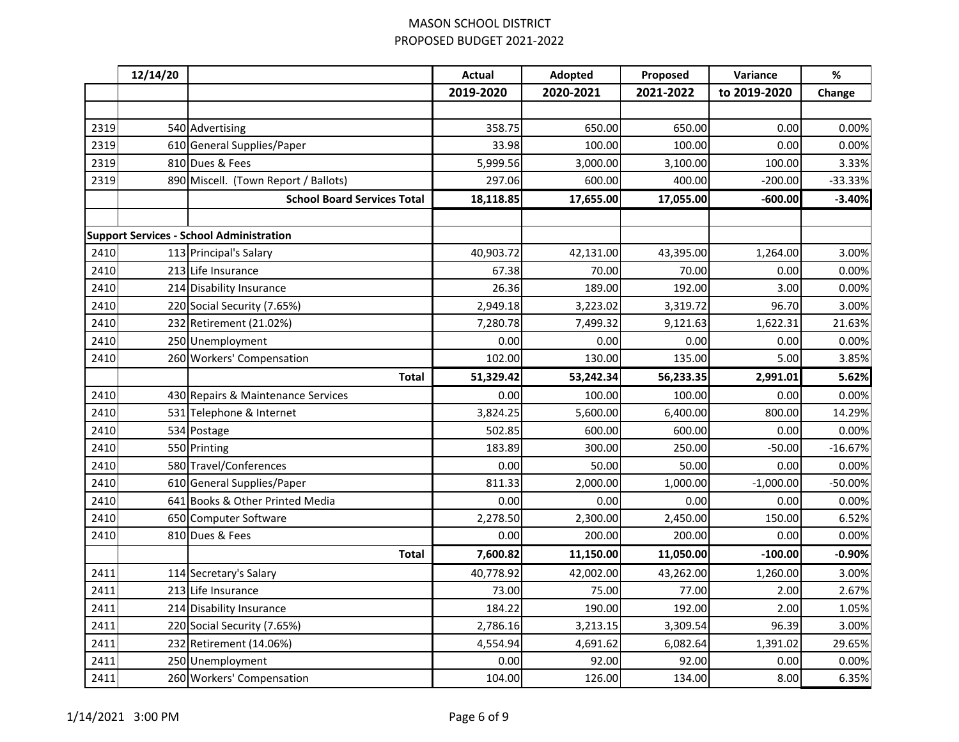|      | 12/14/20 |                                                 | <b>Actual</b> | Adopted   | Proposed  | Variance     | $\%$      |
|------|----------|-------------------------------------------------|---------------|-----------|-----------|--------------|-----------|
|      |          |                                                 | 2019-2020     | 2020-2021 | 2021-2022 | to 2019-2020 | Change    |
|      |          |                                                 |               |           |           |              |           |
| 2319 |          | 540 Advertising                                 | 358.75        | 650.00    | 650.00    | 0.00         | 0.00%     |
| 2319 |          | 610 General Supplies/Paper                      | 33.98         | 100.00    | 100.00    | 0.00         | 0.00%     |
| 2319 |          | 810 Dues & Fees                                 | 5,999.56      | 3,000.00  | 3,100.00  | 100.00       | 3.33%     |
| 2319 |          | 890 Miscell. (Town Report / Ballots)            | 297.06        | 600.00    | 400.00    | $-200.00$    | $-33.33%$ |
|      |          | <b>School Board Services Total</b>              | 18,118.85     | 17,655.00 | 17,055.00 | $-600.00$    | $-3.40%$  |
|      |          |                                                 |               |           |           |              |           |
|      |          | <b>Support Services - School Administration</b> |               |           |           |              |           |
| 2410 |          | 113 Principal's Salary                          | 40,903.72     | 42,131.00 | 43,395.00 | 1,264.00     | 3.00%     |
| 2410 |          | 213 Life Insurance                              | 67.38         | 70.00     | 70.00     | 0.00         | 0.00%     |
| 2410 |          | 214 Disability Insurance                        | 26.36         | 189.00    | 192.00    | 3.00         | 0.00%     |
| 2410 |          | 220 Social Security (7.65%)                     | 2,949.18      | 3,223.02  | 3,319.72  | 96.70        | 3.00%     |
| 2410 |          | 232 Retirement (21.02%)                         | 7,280.78      | 7,499.32  | 9,121.63  | 1,622.31     | 21.63%    |
| 2410 |          | 250 Unemployment                                | 0.00          | 0.00      | 0.00      | 0.00         | 0.00%     |
| 2410 |          | 260 Workers' Compensation                       | 102.00        | 130.00    | 135.00    | 5.00         | 3.85%     |
|      |          | <b>Total</b>                                    | 51,329.42     | 53,242.34 | 56,233.35 | 2,991.01     | 5.62%     |
| 2410 |          | 430 Repairs & Maintenance Services              | 0.00          | 100.00    | 100.00    | 0.00         | 0.00%     |
| 2410 |          | 531 Telephone & Internet                        | 3,824.25      | 5,600.00  | 6,400.00  | 800.00       | 14.29%    |
| 2410 |          | 534 Postage                                     | 502.85        | 600.00    | 600.00    | 0.00         | 0.00%     |
| 2410 |          | 550 Printing                                    | 183.89        | 300.00    | 250.00    | $-50.00$     | $-16.67%$ |
| 2410 |          | 580 Travel/Conferences                          | 0.00          | 50.00     | 50.00     | 0.00         | 0.00%     |
| 2410 |          | 610 General Supplies/Paper                      | 811.33        | 2,000.00  | 1,000.00  | $-1,000.00$  | $-50.00%$ |
| 2410 |          | 641 Books & Other Printed Media                 | 0.00          | 0.00      | 0.00      | 0.00         | 0.00%     |
| 2410 |          | 650 Computer Software                           | 2,278.50      | 2,300.00  | 2,450.00  | 150.00       | 6.52%     |
| 2410 |          | 810 Dues & Fees                                 | 0.00          | 200.00    | 200.00    | 0.00         | 0.00%     |
|      |          | <b>Total</b>                                    | 7,600.82      | 11,150.00 | 11,050.00 | $-100.00$    | $-0.90%$  |
| 2411 |          | 114 Secretary's Salary                          | 40,778.92     | 42,002.00 | 43,262.00 | 1,260.00     | 3.00%     |
| 2411 |          | 213 Life Insurance                              | 73.00         | 75.00     | 77.00     | 2.00         | 2.67%     |
| 2411 |          | 214 Disability Insurance                        | 184.22        | 190.00    | 192.00    | 2.00         | 1.05%     |
| 2411 |          | 220 Social Security (7.65%)                     | 2,786.16      | 3,213.15  | 3,309.54  | 96.39        | 3.00%     |
| 2411 |          | 232 Retirement (14.06%)                         | 4,554.94      | 4,691.62  | 6,082.64  | 1,391.02     | 29.65%    |
| 2411 |          | 250 Unemployment                                | 0.00          | 92.00     | 92.00     | 0.00         | 0.00%     |
| 2411 |          | 260 Workers' Compensation                       | 104.00        | 126.00    | 134.00    | 8.00         | 6.35%     |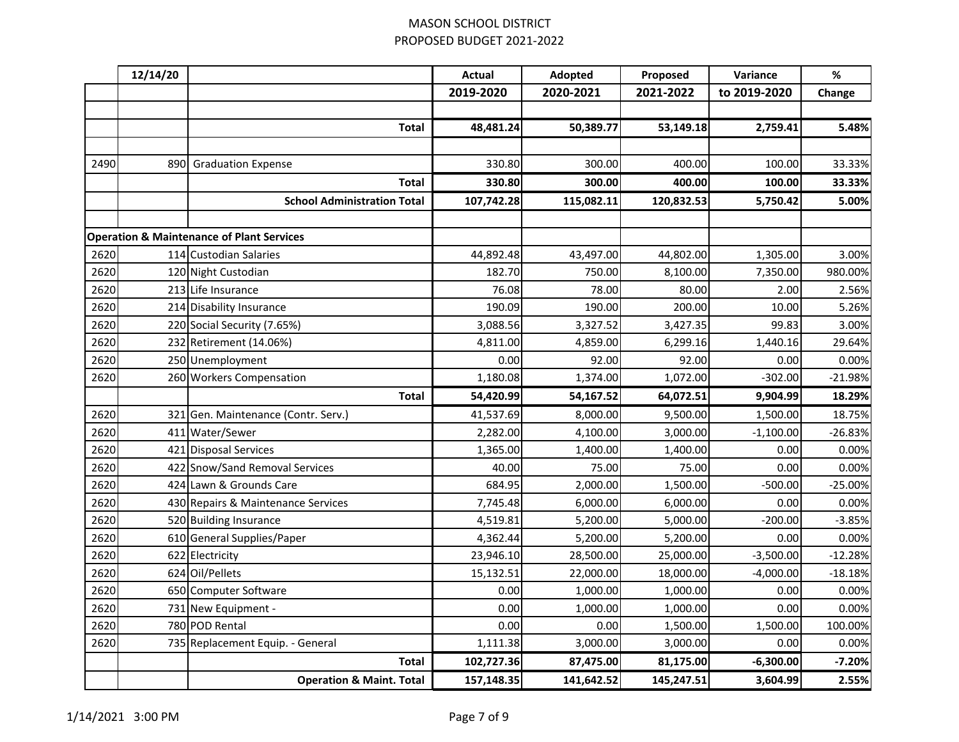|      | 12/14/20 |                                                      | <b>Actual</b> | Adopted    | Proposed   | Variance     | $\%$      |
|------|----------|------------------------------------------------------|---------------|------------|------------|--------------|-----------|
|      |          |                                                      | 2019-2020     | 2020-2021  | 2021-2022  | to 2019-2020 | Change    |
|      |          |                                                      |               |            |            |              |           |
|      |          | <b>Total</b>                                         | 48,481.24     | 50,389.77  | 53,149.18  | 2,759.41     | 5.48%     |
|      |          |                                                      |               |            |            |              |           |
| 2490 | 890      | <b>Graduation Expense</b>                            | 330.80        | 300.00     | 400.00     | 100.00       | 33.33%    |
|      |          | <b>Total</b>                                         | 330.80        | 300.00     | 400.00     | 100.00       | 33.33%    |
|      |          | <b>School Administration Total</b>                   | 107,742.28    | 115,082.11 | 120,832.53 | 5,750.42     | 5.00%     |
|      |          |                                                      |               |            |            |              |           |
|      |          | <b>Operation &amp; Maintenance of Plant Services</b> |               |            |            |              |           |
| 2620 |          | 114 Custodian Salaries                               | 44,892.48     | 43,497.00  | 44,802.00  | 1,305.00     | 3.00%     |
| 2620 |          | 120 Night Custodian                                  | 182.70        | 750.00     | 8,100.00   | 7,350.00     | 980.00%   |
| 2620 |          | 213 Life Insurance                                   | 76.08         | 78.00      | 80.00      | 2.00         | 2.56%     |
| 2620 |          | 214 Disability Insurance                             | 190.09        | 190.00     | 200.00     | 10.00        | 5.26%     |
| 2620 |          | 220 Social Security (7.65%)                          | 3,088.56      | 3,327.52   | 3,427.35   | 99.83        | 3.00%     |
| 2620 |          | 232 Retirement (14.06%)                              | 4,811.00      | 4,859.00   | 6,299.16   | 1,440.16     | 29.64%    |
| 2620 |          | 250 Unemployment                                     | 0.00          | 92.00      | 92.00      | 0.00         | 0.00%     |
| 2620 |          | 260 Workers Compensation                             | 1,180.08      | 1,374.00   | 1,072.00   | $-302.00$    | $-21.98%$ |
|      |          | <b>Total</b>                                         | 54,420.99     | 54,167.52  | 64,072.51  | 9,904.99     | 18.29%    |
| 2620 | 321      | Gen. Maintenance (Contr. Serv.)                      | 41,537.69     | 8,000.00   | 9,500.00   | 1,500.00     | 18.75%    |
| 2620 |          | 411 Water/Sewer                                      | 2,282.00      | 4,100.00   | 3,000.00   | $-1,100.00$  | $-26.83%$ |
| 2620 |          | 421 Disposal Services                                | 1,365.00      | 1,400.00   | 1,400.00   | 0.00         | 0.00%     |
| 2620 |          | 422 Snow/Sand Removal Services                       | 40.00         | 75.00      | 75.00      | 0.00         | 0.00%     |
| 2620 |          | 424 Lawn & Grounds Care                              | 684.95        | 2,000.00   | 1,500.00   | $-500.00$    | $-25.00%$ |
| 2620 |          | 430 Repairs & Maintenance Services                   | 7,745.48      | 6,000.00   | 6,000.00   | 0.00         | 0.00%     |
| 2620 |          | 520 Building Insurance                               | 4,519.81      | 5,200.00   | 5,000.00   | $-200.00$    | $-3.85%$  |
| 2620 |          | 610 General Supplies/Paper                           | 4,362.44      | 5,200.00   | 5,200.00   | 0.00         | 0.00%     |
| 2620 |          | 622 Electricity                                      | 23,946.10     | 28,500.00  | 25,000.00  | $-3,500.00$  | $-12.28%$ |
| 2620 |          | 624 Oil/Pellets                                      | 15,132.51     | 22,000.00  | 18,000.00  | $-4,000.00$  | $-18.18%$ |
| 2620 |          | 650 Computer Software                                | 0.00          | 1,000.00   | 1,000.00   | 0.00         | 0.00%     |
| 2620 |          | 731 New Equipment -                                  | 0.00          | 1,000.00   | 1,000.00   | 0.00         | 0.00%     |
| 2620 |          | 780 POD Rental                                       | 0.00          | 0.00       | 1,500.00   | 1,500.00     | 100.00%   |
| 2620 |          | 735 Replacement Equip. - General                     | 1,111.38      | 3,000.00   | 3,000.00   | 0.00         | 0.00%     |
|      |          | <b>Total</b>                                         | 102,727.36    | 87,475.00  | 81,175.00  | $-6,300.00$  | $-7.20%$  |
|      |          | <b>Operation &amp; Maint. Total</b>                  | 157,148.35    | 141,642.52 | 145,247.51 | 3,604.99     | 2.55%     |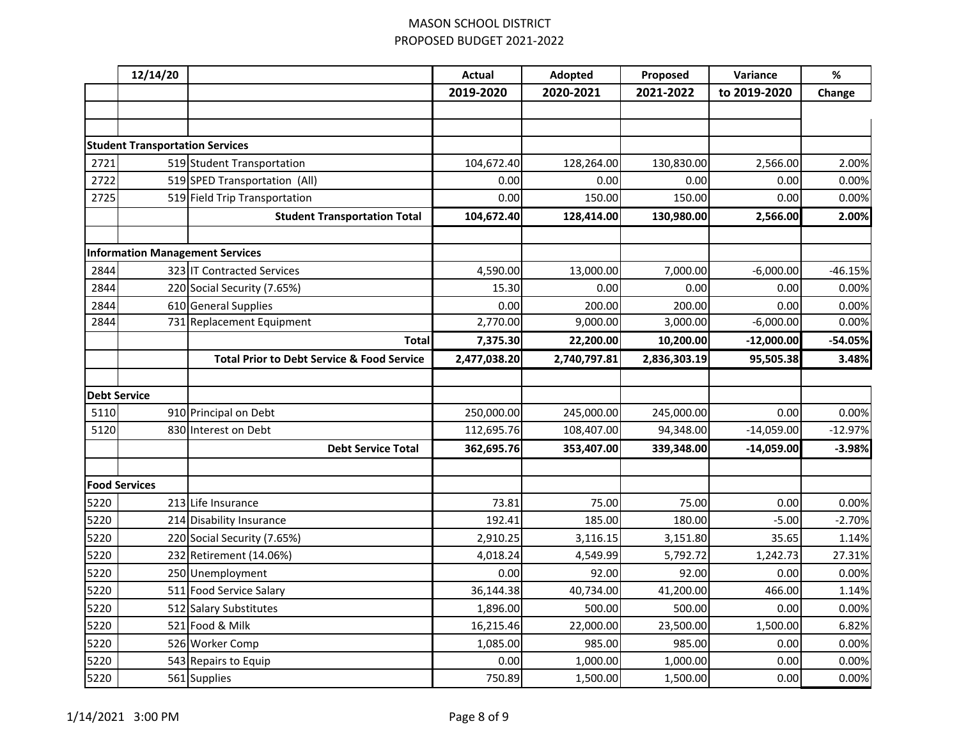|                     | 12/14/20                               |                                                       | <b>Actual</b> | Adopted      | Proposed     | Variance     | $\%$      |
|---------------------|----------------------------------------|-------------------------------------------------------|---------------|--------------|--------------|--------------|-----------|
|                     |                                        |                                                       | 2019-2020     | 2020-2021    | 2021-2022    | to 2019-2020 | Change    |
|                     |                                        |                                                       |               |              |              |              |           |
|                     |                                        |                                                       |               |              |              |              |           |
|                     | <b>Student Transportation Services</b> |                                                       |               |              |              |              |           |
| 2721                |                                        | 519 Student Transportation                            | 104,672.40    | 128,264.00   | 130,830.00   | 2,566.00     | 2.00%     |
| 2722                |                                        | 519 SPED Transportation (All)                         | 0.00          | 0.00         | 0.00         | 0.00         | 0.00%     |
| 2725                |                                        | 519 Field Trip Transportation                         | 0.00          | 150.00       | 150.00       | 0.00         | 0.00%     |
|                     |                                        | <b>Student Transportation Total</b>                   | 104,672.40    | 128,414.00   | 130,980.00   | 2,566.00     | 2.00%     |
|                     |                                        |                                                       |               |              |              |              |           |
|                     |                                        | <b>Information Management Services</b>                |               |              |              |              |           |
| 2844                |                                        | 323 IT Contracted Services                            | 4,590.00      | 13,000.00    | 7,000.00     | $-6,000.00$  | $-46.15%$ |
| 2844                |                                        | 220 Social Security (7.65%)                           | 15.30         | 0.00         | 0.00         | 0.00         | 0.00%     |
| 2844                |                                        | 610 General Supplies                                  | 0.00          | 200.00       | 200.00       | 0.00         | 0.00%     |
| 2844                |                                        | 731 Replacement Equipment                             | 2,770.00      | 9,000.00     | 3,000.00     | $-6,000.00$  | 0.00%     |
|                     |                                        | <b>Total</b>                                          | 7,375.30      | 22,200.00    | 10,200.00    | $-12,000.00$ | -54.05%   |
|                     |                                        | <b>Total Prior to Debt Service &amp; Food Service</b> | 2,477,038.20  | 2,740,797.81 | 2,836,303.19 | 95,505.38    | 3.48%     |
|                     |                                        |                                                       |               |              |              |              |           |
| <b>Debt Service</b> |                                        |                                                       |               |              |              |              |           |
| 5110                |                                        | 910 Principal on Debt                                 | 250,000.00    | 245,000.00   | 245,000.00   | 0.00         | 0.00%     |
| 5120                |                                        | 830 Interest on Debt                                  | 112,695.76    | 108,407.00   | 94,348.00    | $-14,059.00$ | $-12.97%$ |
|                     |                                        | <b>Debt Service Total</b>                             | 362,695.76    | 353,407.00   | 339,348.00   | $-14,059.00$ | $-3.98%$  |
|                     |                                        |                                                       |               |              |              |              |           |
|                     | <b>Food Services</b>                   |                                                       |               |              |              |              |           |
| 5220                |                                        | 213 Life Insurance                                    | 73.81         | 75.00        | 75.00        | 0.00         | 0.00%     |
| 5220                |                                        | 214 Disability Insurance                              | 192.41        | 185.00       | 180.00       | $-5.00$      | $-2.70%$  |
| 5220                |                                        | 220 Social Security (7.65%)                           | 2,910.25      | 3,116.15     | 3,151.80     | 35.65        | 1.14%     |
| 5220                |                                        | 232 Retirement (14.06%)                               | 4,018.24      | 4,549.99     | 5,792.72     | 1,242.73     | 27.31%    |
| 5220                |                                        | 250 Unemployment                                      | 0.00          | 92.00        | 92.00        | 0.00         | 0.00%     |
| 5220                |                                        | 511 Food Service Salary                               | 36,144.38     | 40,734.00    | 41,200.00    | 466.00       | 1.14%     |
| 5220                |                                        | 512 Salary Substitutes                                | 1,896.00      | 500.00       | 500.00       | 0.00         | 0.00%     |
| 5220                |                                        | 521 Food & Milk                                       | 16,215.46     | 22,000.00    | 23,500.00    | 1,500.00     | 6.82%     |
| 5220                |                                        | 526 Worker Comp                                       | 1,085.00      | 985.00       | 985.00       | 0.00         | 0.00%     |
| 5220                |                                        | 543 Repairs to Equip                                  | 0.00          | 1,000.00     | 1,000.00     | 0.00         | 0.00%     |
| 5220                |                                        | 561 Supplies                                          | 750.89        | 1,500.00     | 1,500.00     | 0.00         | 0.00%     |